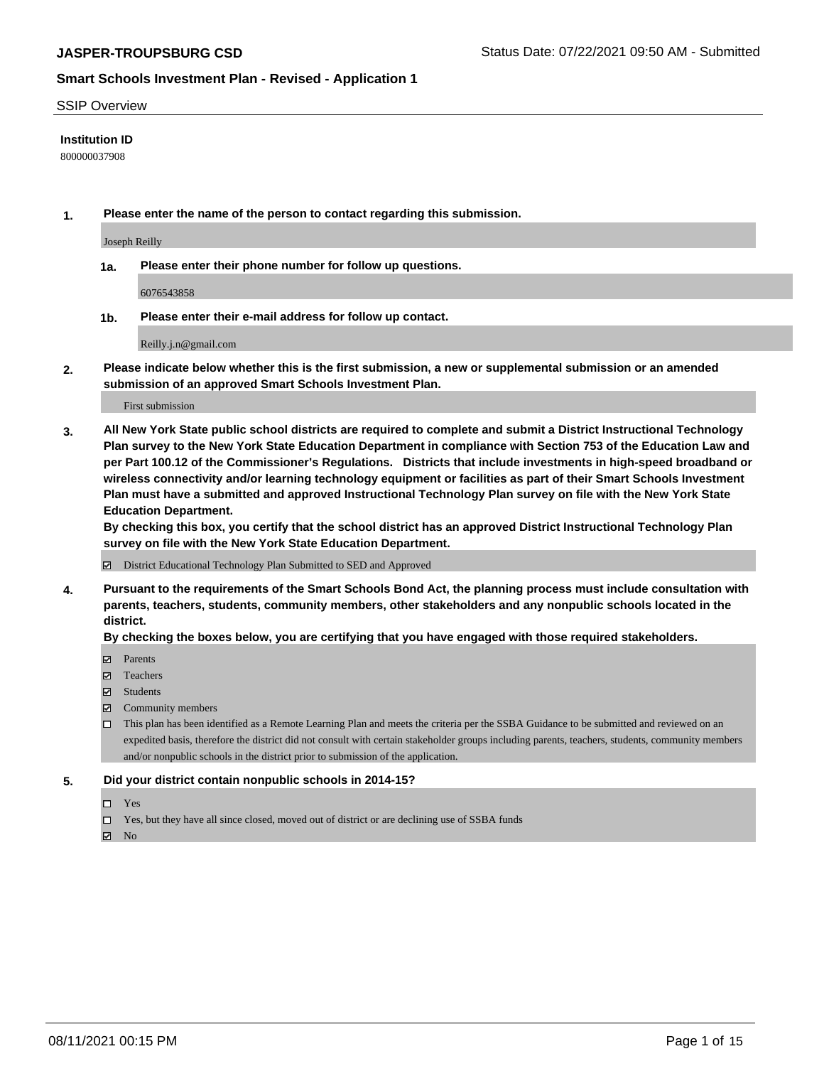#### SSIP Overview

#### **Institution ID**

800000037908

**1. Please enter the name of the person to contact regarding this submission.**

Joseph Reilly

**1a. Please enter their phone number for follow up questions.**

6076543858

**1b. Please enter their e-mail address for follow up contact.**

Reilly.j.n@gmail.com

**2. Please indicate below whether this is the first submission, a new or supplemental submission or an amended submission of an approved Smart Schools Investment Plan.**

#### First submission

**3. All New York State public school districts are required to complete and submit a District Instructional Technology Plan survey to the New York State Education Department in compliance with Section 753 of the Education Law and per Part 100.12 of the Commissioner's Regulations. Districts that include investments in high-speed broadband or wireless connectivity and/or learning technology equipment or facilities as part of their Smart Schools Investment Plan must have a submitted and approved Instructional Technology Plan survey on file with the New York State Education Department.** 

**By checking this box, you certify that the school district has an approved District Instructional Technology Plan survey on file with the New York State Education Department.**

District Educational Technology Plan Submitted to SED and Approved

**4. Pursuant to the requirements of the Smart Schools Bond Act, the planning process must include consultation with parents, teachers, students, community members, other stakeholders and any nonpublic schools located in the district.** 

#### **By checking the boxes below, you are certifying that you have engaged with those required stakeholders.**

- **Parents**
- Teachers
- Students
- $\boxtimes$  Community members
- This plan has been identified as a Remote Learning Plan and meets the criteria per the SSBA Guidance to be submitted and reviewed on an expedited basis, therefore the district did not consult with certain stakeholder groups including parents, teachers, students, community members and/or nonpublic schools in the district prior to submission of the application.
- **5. Did your district contain nonpublic schools in 2014-15?**
	- □ Yes
	- □ Yes, but they have all since closed, moved out of district or are declining use of SSBA funds

 $M$  No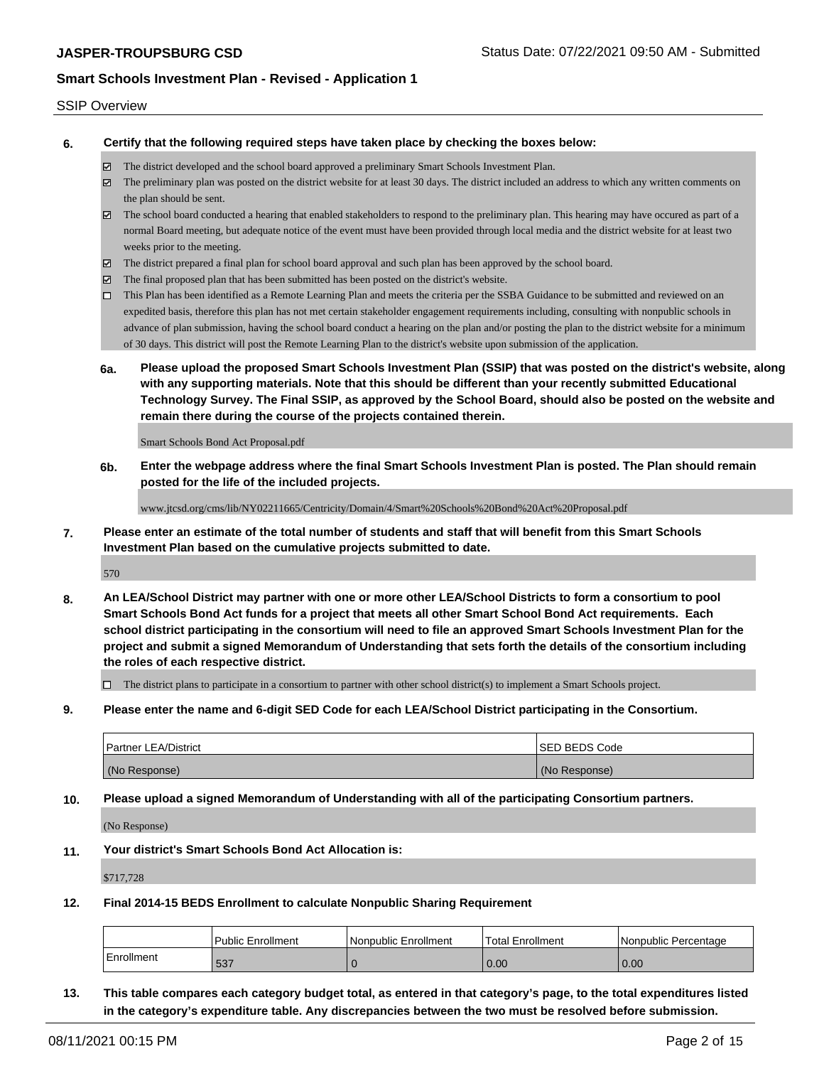#### SSIP Overview

**6. Certify that the following required steps have taken place by checking the boxes below:**

- The district developed and the school board approved a preliminary Smart Schools Investment Plan.
- The preliminary plan was posted on the district website for at least 30 days. The district included an address to which any written comments on the plan should be sent.
- $\boxtimes$  The school board conducted a hearing that enabled stakeholders to respond to the preliminary plan. This hearing may have occured as part of a normal Board meeting, but adequate notice of the event must have been provided through local media and the district website for at least two weeks prior to the meeting.
- The district prepared a final plan for school board approval and such plan has been approved by the school board.
- $\boxtimes$  The final proposed plan that has been submitted has been posted on the district's website.
- This Plan has been identified as a Remote Learning Plan and meets the criteria per the SSBA Guidance to be submitted and reviewed on an expedited basis, therefore this plan has not met certain stakeholder engagement requirements including, consulting with nonpublic schools in advance of plan submission, having the school board conduct a hearing on the plan and/or posting the plan to the district website for a minimum of 30 days. This district will post the Remote Learning Plan to the district's website upon submission of the application.
- **6a. Please upload the proposed Smart Schools Investment Plan (SSIP) that was posted on the district's website, along with any supporting materials. Note that this should be different than your recently submitted Educational Technology Survey. The Final SSIP, as approved by the School Board, should also be posted on the website and remain there during the course of the projects contained therein.**

Smart Schools Bond Act Proposal.pdf

**6b. Enter the webpage address where the final Smart Schools Investment Plan is posted. The Plan should remain posted for the life of the included projects.**

www.jtcsd.org/cms/lib/NY02211665/Centricity/Domain/4/Smart%20Schools%20Bond%20Act%20Proposal.pdf

**7. Please enter an estimate of the total number of students and staff that will benefit from this Smart Schools Investment Plan based on the cumulative projects submitted to date.**

570

**8. An LEA/School District may partner with one or more other LEA/School Districts to form a consortium to pool Smart Schools Bond Act funds for a project that meets all other Smart School Bond Act requirements. Each school district participating in the consortium will need to file an approved Smart Schools Investment Plan for the project and submit a signed Memorandum of Understanding that sets forth the details of the consortium including the roles of each respective district.**

 $\Box$  The district plans to participate in a consortium to partner with other school district(s) to implement a Smart Schools project.

**9. Please enter the name and 6-digit SED Code for each LEA/School District participating in the Consortium.**

| <b>Partner LEA/District</b> | <b>ISED BEDS Code</b> |
|-----------------------------|-----------------------|
| (No Response)               | (No Response)         |

**10. Please upload a signed Memorandum of Understanding with all of the participating Consortium partners.**

(No Response)

**11. Your district's Smart Schools Bond Act Allocation is:**

\$717,728

**12. Final 2014-15 BEDS Enrollment to calculate Nonpublic Sharing Requirement**

|            | <b>Public Enrollment</b> | l Nonpublic Enrollment | Total Enrollment | I Nonpublic Percentage |
|------------|--------------------------|------------------------|------------------|------------------------|
| Enrollment | <b>E27</b><br>ວວ         |                        | 0.00             | 0.00                   |

**13. This table compares each category budget total, as entered in that category's page, to the total expenditures listed in the category's expenditure table. Any discrepancies between the two must be resolved before submission.**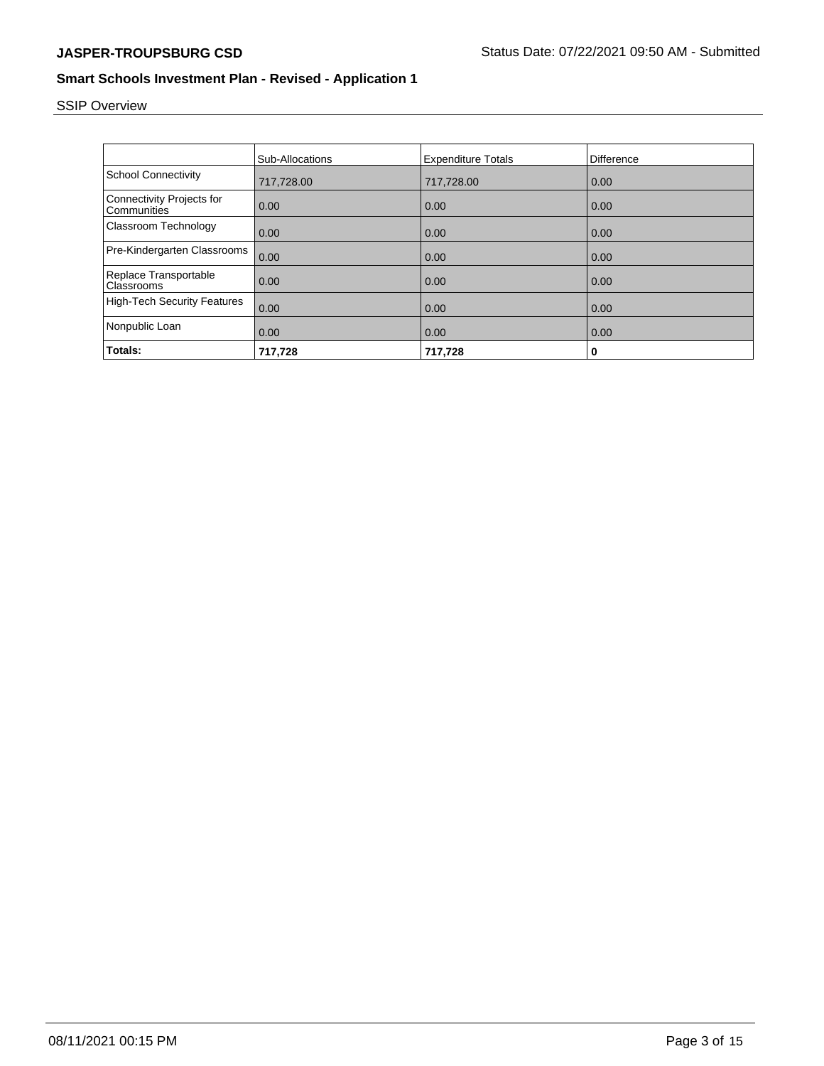# SSIP Overview

|                                                 | Sub-Allocations | <b>Expenditure Totals</b> | Difference |
|-------------------------------------------------|-----------------|---------------------------|------------|
| <b>School Connectivity</b>                      | 717,728.00      | 717,728.00                | 0.00       |
| <b>Connectivity Projects for</b><br>Communities | 0.00            | 0.00                      | 0.00       |
| Classroom Technology                            | 0.00            | 0.00                      | 0.00       |
| Pre-Kindergarten Classrooms                     | 0.00            | 0.00                      | 0.00       |
| Replace Transportable<br>Classrooms             | 0.00            | 0.00                      | 0.00       |
| <b>High-Tech Security Features</b>              | 0.00            | 0.00                      | 0.00       |
| Nonpublic Loan                                  | 0.00            | 0.00                      | 0.00       |
| Totals:                                         | 717,728         | 717,728                   | 0          |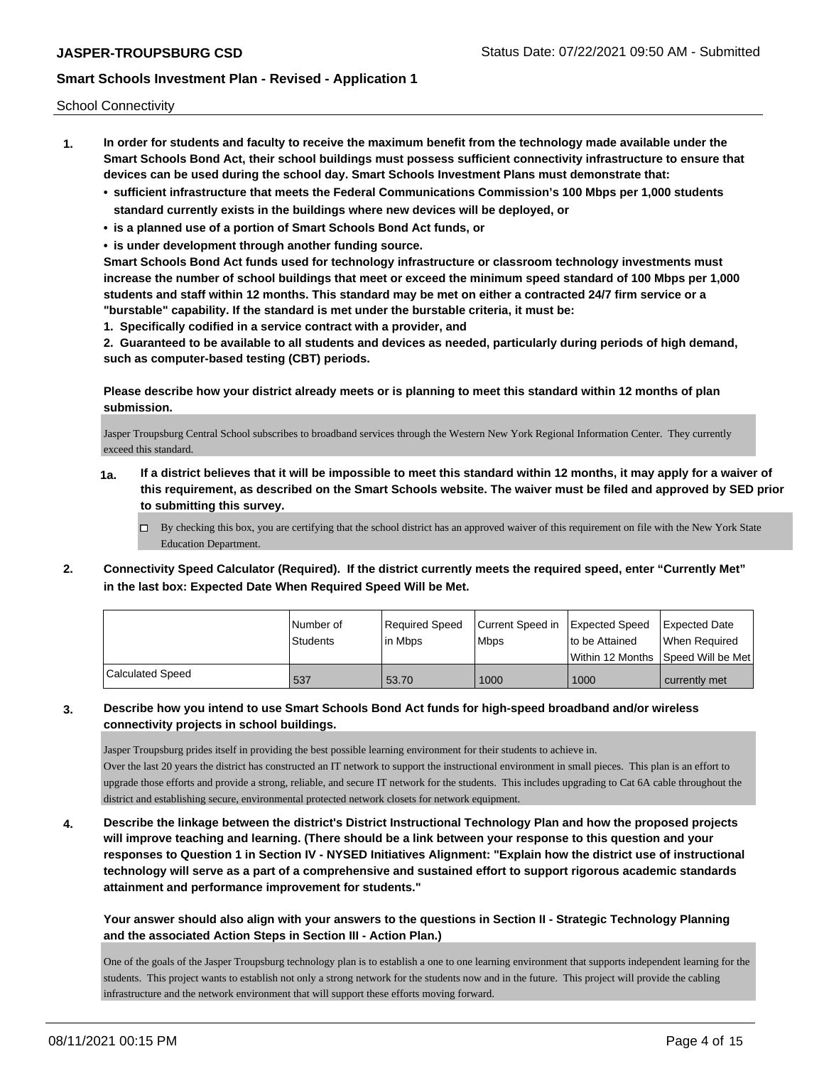School Connectivity

- **1. In order for students and faculty to receive the maximum benefit from the technology made available under the Smart Schools Bond Act, their school buildings must possess sufficient connectivity infrastructure to ensure that devices can be used during the school day. Smart Schools Investment Plans must demonstrate that:**
	- **• sufficient infrastructure that meets the Federal Communications Commission's 100 Mbps per 1,000 students standard currently exists in the buildings where new devices will be deployed, or**
	- **• is a planned use of a portion of Smart Schools Bond Act funds, or**
	- **• is under development through another funding source.**

**Smart Schools Bond Act funds used for technology infrastructure or classroom technology investments must increase the number of school buildings that meet or exceed the minimum speed standard of 100 Mbps per 1,000 students and staff within 12 months. This standard may be met on either a contracted 24/7 firm service or a "burstable" capability. If the standard is met under the burstable criteria, it must be:**

**1. Specifically codified in a service contract with a provider, and**

**2. Guaranteed to be available to all students and devices as needed, particularly during periods of high demand, such as computer-based testing (CBT) periods.**

**Please describe how your district already meets or is planning to meet this standard within 12 months of plan submission.**

Jasper Troupsburg Central School subscribes to broadband services through the Western New York Regional Information Center. They currently exceed this standard.

- **1a. If a district believes that it will be impossible to meet this standard within 12 months, it may apply for a waiver of this requirement, as described on the Smart Schools website. The waiver must be filed and approved by SED prior to submitting this survey.**
	- $\Box$  By checking this box, you are certifying that the school district has an approved waiver of this requirement on file with the New York State Education Department.
- **2. Connectivity Speed Calculator (Required). If the district currently meets the required speed, enter "Currently Met" in the last box: Expected Date When Required Speed Will be Met.**

|                  | l Number of<br>Students | Reauired Speed<br>l in Mbps | Current Speed in<br><b>Mbps</b> | Expected Speed<br>Ito be Attained | Expected Date<br>When Required<br>l Within 12 Months ISpeed Will be Met l |
|------------------|-------------------------|-----------------------------|---------------------------------|-----------------------------------|---------------------------------------------------------------------------|
|                  |                         |                             |                                 |                                   |                                                                           |
| Calculated Speed | 537                     | 53.70                       | 1000                            | 1000                              | currently met                                                             |

**3. Describe how you intend to use Smart Schools Bond Act funds for high-speed broadband and/or wireless connectivity projects in school buildings.**

Jasper Troupsburg prides itself in providing the best possible learning environment for their students to achieve in. Over the last 20 years the district has constructed an IT network to support the instructional environment in small pieces. This plan is an effort to upgrade those efforts and provide a strong, reliable, and secure IT network for the students. This includes upgrading to Cat 6A cable throughout the district and establishing secure, environmental protected network closets for network equipment.

**4. Describe the linkage between the district's District Instructional Technology Plan and how the proposed projects will improve teaching and learning. (There should be a link between your response to this question and your responses to Question 1 in Section IV - NYSED Initiatives Alignment: "Explain how the district use of instructional technology will serve as a part of a comprehensive and sustained effort to support rigorous academic standards attainment and performance improvement for students."** 

**Your answer should also align with your answers to the questions in Section II - Strategic Technology Planning and the associated Action Steps in Section III - Action Plan.)**

One of the goals of the Jasper Troupsburg technology plan is to establish a one to one learning environment that supports independent learning for the students. This project wants to establish not only a strong network for the students now and in the future. This project will provide the cabling infrastructure and the network environment that will support these efforts moving forward.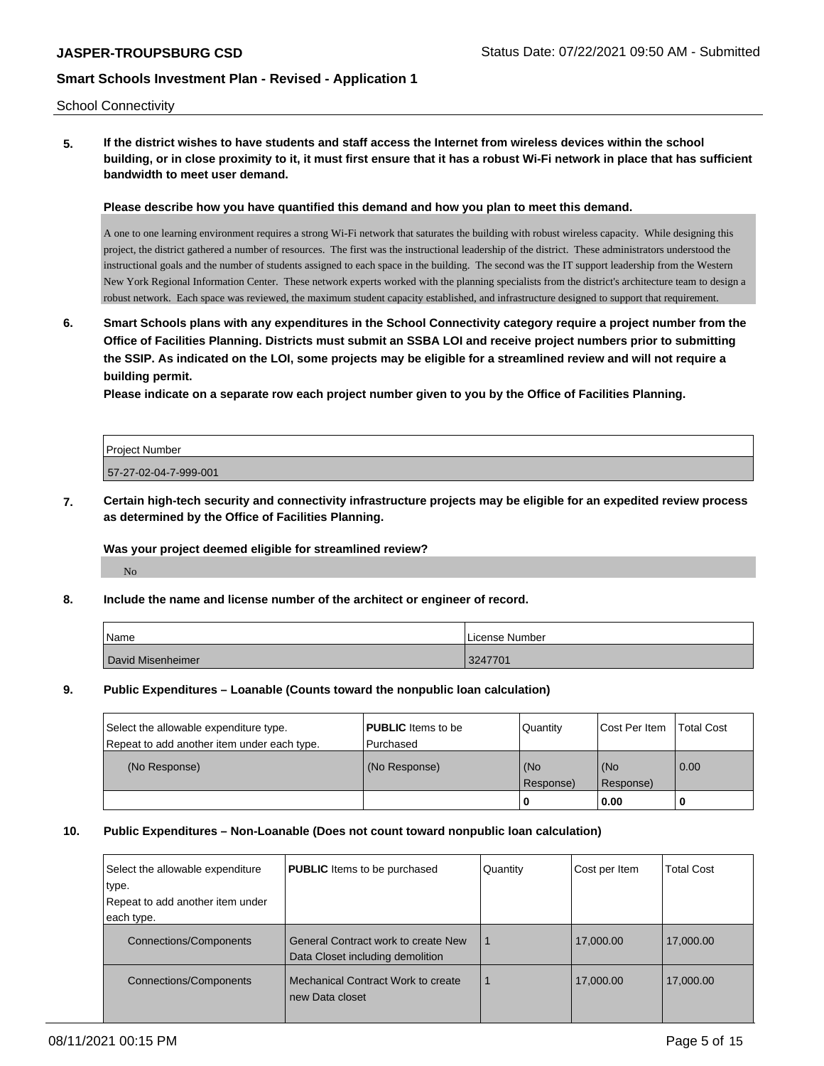#### School Connectivity

**5. If the district wishes to have students and staff access the Internet from wireless devices within the school building, or in close proximity to it, it must first ensure that it has a robust Wi-Fi network in place that has sufficient bandwidth to meet user demand.**

#### **Please describe how you have quantified this demand and how you plan to meet this demand.**

A one to one learning environment requires a strong Wi-Fi network that saturates the building with robust wireless capacity. While designing this project, the district gathered a number of resources. The first was the instructional leadership of the district. These administrators understood the instructional goals and the number of students assigned to each space in the building. The second was the IT support leadership from the Western New York Regional Information Center. These network experts worked with the planning specialists from the district's architecture team to design a robust network. Each space was reviewed, the maximum student capacity established, and infrastructure designed to support that requirement.

**6. Smart Schools plans with any expenditures in the School Connectivity category require a project number from the Office of Facilities Planning. Districts must submit an SSBA LOI and receive project numbers prior to submitting the SSIP. As indicated on the LOI, some projects may be eligible for a streamlined review and will not require a building permit.**

**Please indicate on a separate row each project number given to you by the Office of Facilities Planning.**

| <b>Project Number</b> |  |
|-----------------------|--|
| 57-27-02-04-7-999-001 |  |

**7. Certain high-tech security and connectivity infrastructure projects may be eligible for an expedited review process as determined by the Office of Facilities Planning.**

#### **Was your project deemed eligible for streamlined review?**

No

#### **8. Include the name and license number of the architect or engineer of record.**

| Name              | License Number |
|-------------------|----------------|
| David Misenheimer | 3247701        |

#### **9. Public Expenditures – Loanable (Counts toward the nonpublic loan calculation)**

| Select the allowable expenditure type.<br>Repeat to add another item under each type. | <b>PUBLIC</b> Items to be<br>l Purchased | Quantity  | Cost Per Item | <b>Total Cost</b> |
|---------------------------------------------------------------------------------------|------------------------------------------|-----------|---------------|-------------------|
| (No Response)                                                                         | (No Response)                            | (No       | l (No         | 0.00              |
|                                                                                       |                                          | Response) | Response)     |                   |
|                                                                                       |                                          |           | 0.00          | - U               |

#### **10. Public Expenditures – Non-Loanable (Does not count toward nonpublic loan calculation)**

| Select the allowable expenditure<br>∣type. | <b>PUBLIC</b> Items to be purchased                                            | Quantity | Cost per Item | <b>Total Cost</b> |
|--------------------------------------------|--------------------------------------------------------------------------------|----------|---------------|-------------------|
| Repeat to add another item under           |                                                                                |          |               |                   |
| each type.                                 |                                                                                |          |               |                   |
| <b>Connections/Components</b>              | <b>General Contract work to create New</b><br>Data Closet including demolition |          | 17,000.00     | 17,000.00         |
| <b>Connections/Components</b>              | Mechanical Contract Work to create<br>new Data closet                          |          | 17,000.00     | 17,000.00         |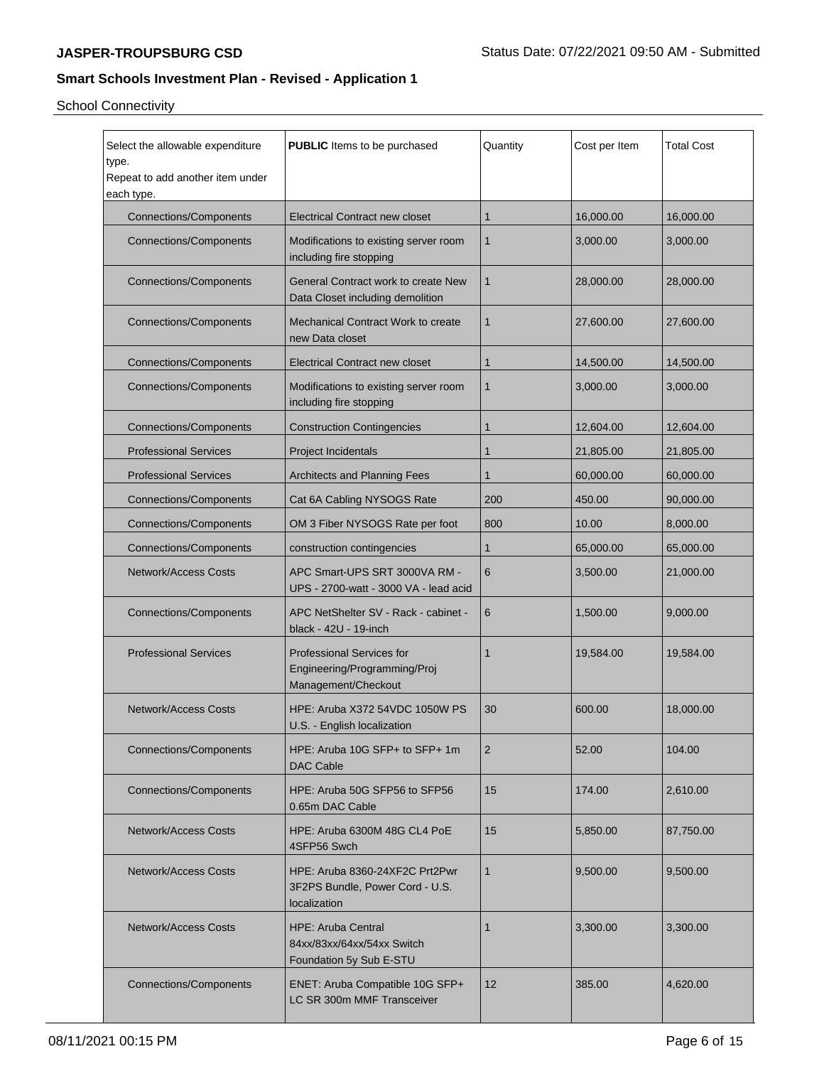School Connectivity

| Select the allowable expenditure<br><b>PUBLIC</b> Items to be purchased<br>type.<br>Repeat to add another item under<br>each type. |                                                                                         | Quantity        | Cost per Item | <b>Total Cost</b> |
|------------------------------------------------------------------------------------------------------------------------------------|-----------------------------------------------------------------------------------------|-----------------|---------------|-------------------|
| <b>Connections/Components</b>                                                                                                      | <b>Electrical Contract new closet</b>                                                   | 1               | 16,000.00     | 16,000.00         |
| <b>Connections/Components</b>                                                                                                      | Modifications to existing server room<br>including fire stopping                        | 1               | 3,000.00      | 3,000.00          |
| <b>Connections/Components</b>                                                                                                      | General Contract work to create New<br>Data Closet including demolition                 | 1               | 28,000.00     | 28,000.00         |
| <b>Connections/Components</b>                                                                                                      | Mechanical Contract Work to create<br>new Data closet                                   | 1               | 27,600.00     | 27,600.00         |
| <b>Connections/Components</b>                                                                                                      | Electrical Contract new closet                                                          | 1               | 14,500.00     | 14,500.00         |
| <b>Connections/Components</b>                                                                                                      | Modifications to existing server room<br>including fire stopping                        | 1               | 3,000.00      | 3,000.00          |
| <b>Connections/Components</b>                                                                                                      | <b>Construction Contingencies</b>                                                       | 1               | 12,604.00     | 12,604.00         |
| <b>Professional Services</b>                                                                                                       | <b>Project Incidentals</b>                                                              | 1               | 21,805.00     | 21,805.00         |
| <b>Professional Services</b>                                                                                                       | <b>Architects and Planning Fees</b>                                                     | 1               | 60,000.00     | 60,000.00         |
| <b>Connections/Components</b>                                                                                                      | Cat 6A Cabling NYSOGS Rate                                                              | 200             | 450.00        | 90,000.00         |
| <b>Connections/Components</b>                                                                                                      | OM 3 Fiber NYSOGS Rate per foot                                                         | 800             | 10.00         | 8,000.00          |
| <b>Connections/Components</b>                                                                                                      | construction contingencies                                                              | 1               | 65,000.00     | 65,000.00         |
| <b>Network/Access Costs</b>                                                                                                        | APC Smart-UPS SRT 3000VA RM -<br>UPS - 2700-watt - 3000 VA - lead acid                  | 6               | 3,500.00      | 21,000.00         |
| <b>Connections/Components</b>                                                                                                      | APC NetShelter SV - Rack - cabinet -<br>black - 42U - 19-inch                           | 6               | 1,500.00      | 9,000.00          |
| <b>Professional Services</b>                                                                                                       | <b>Professional Services for</b><br>Engineering/Programming/Proj<br>Management/Checkout | $\mathbf{1}$    | 19,584.00     | 19,584.00         |
| <b>Network/Access Costs</b>                                                                                                        | HPE: Aruba X372 54VDC 1050W PS<br>U.S. - English localization                           | 30              | 600.00        | 18,000.00         |
| <b>Connections/Components</b>                                                                                                      | HPE: Aruba 10G SFP+ to SFP+ 1m<br>DAC Cable                                             | $\overline{2}$  | 52.00         | 104.00            |
| <b>Connections/Components</b>                                                                                                      | HPE: Aruba 50G SFP56 to SFP56<br>0.65m DAC Cable                                        | 15              | 174.00        | 2,610.00          |
| <b>Network/Access Costs</b>                                                                                                        | HPE: Aruba 6300M 48G CL4 PoE<br>4SFP56 Swch                                             | 15              | 5,850.00      | 87,750.00         |
| <b>Network/Access Costs</b>                                                                                                        | HPE: Aruba 8360-24XF2C Prt2Pwr<br>3F2PS Bundle, Power Cord - U.S.<br>localization       | 1               | 9,500.00      | 9,500.00          |
| <b>Network/Access Costs</b>                                                                                                        | <b>HPE: Aruba Central</b><br>84xx/83xx/64xx/54xx Switch<br>Foundation 5y Sub E-STU      | 1               | 3,300.00      | 3,300.00          |
| <b>Connections/Components</b>                                                                                                      | ENET: Aruba Compatible 10G SFP+<br>LC SR 300m MMF Transceiver                           | 12 <sup>2</sup> | 385.00        | 4,620.00          |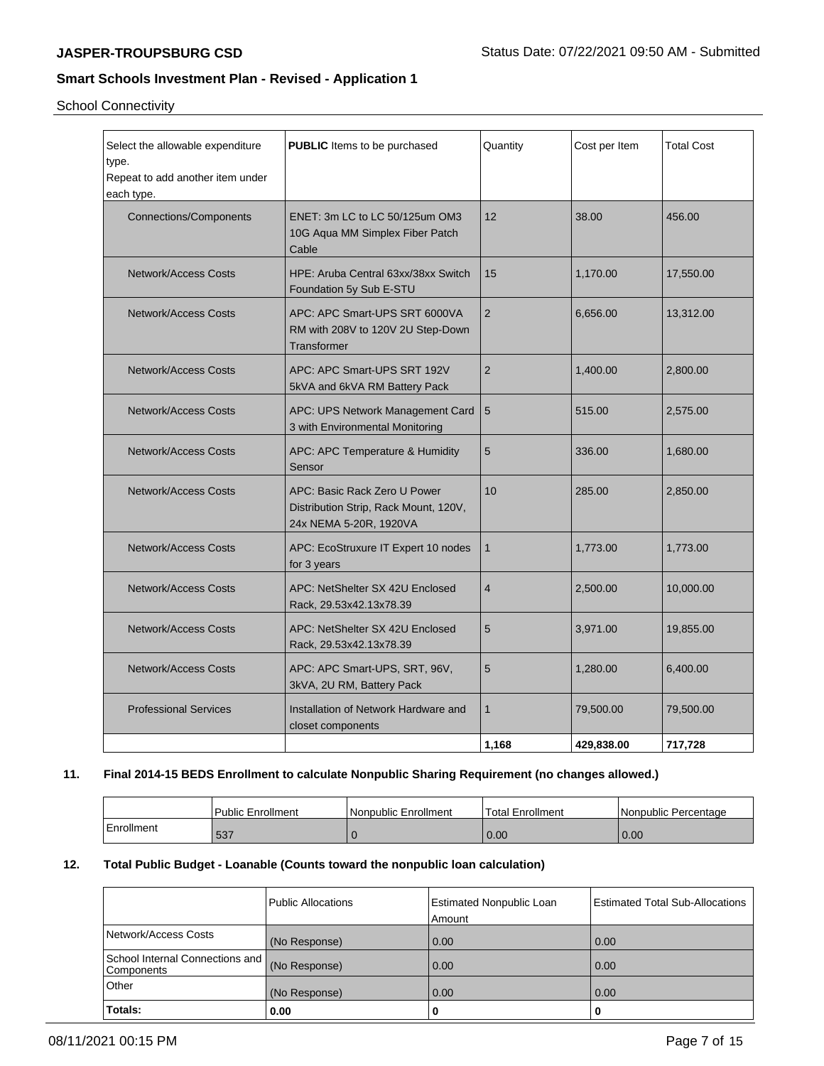School Connectivity

| Select the allowable expenditure<br>type.<br>Repeat to add another item under<br>each type. | <b>PUBLIC</b> Items to be purchased                                                             | Quantity       | Cost per Item | <b>Total Cost</b> |
|---------------------------------------------------------------------------------------------|-------------------------------------------------------------------------------------------------|----------------|---------------|-------------------|
| <b>Connections/Components</b>                                                               | ENET: 3m LC to LC 50/125um OM3<br>10G Aqua MM Simplex Fiber Patch<br>Cable                      | 12             | 38.00         | 456.00            |
| <b>Network/Access Costs</b>                                                                 | HPE: Aruba Central 63xx/38xx Switch<br>Foundation 5y Sub E-STU                                  | 15             | 1,170.00      | 17,550.00         |
| <b>Network/Access Costs</b>                                                                 | APC: APC Smart-UPS SRT 6000VA<br>RM with 208V to 120V 2U Step-Down<br><b>Transformer</b>        | $\overline{2}$ | 6,656.00      | 13,312.00         |
| <b>Network/Access Costs</b>                                                                 | APC: APC Smart-UPS SRT 192V<br>5kVA and 6kVA RM Battery Pack                                    | $\overline{2}$ | 1,400.00      | 2,800.00          |
| <b>Network/Access Costs</b>                                                                 | APC: UPS Network Management Card<br>3 with Environmental Monitoring                             | 5              | 515.00        | 2,575.00          |
| <b>Network/Access Costs</b>                                                                 | APC: APC Temperature & Humidity<br>Sensor                                                       | 5              | 336.00        | 1,680.00          |
| <b>Network/Access Costs</b>                                                                 | APC: Basic Rack Zero U Power<br>Distribution Strip, Rack Mount, 120V,<br>24x NEMA 5-20R, 1920VA | 10             | 285.00        | 2,850.00          |
| <b>Network/Access Costs</b>                                                                 | APC: EcoStruxure IT Expert 10 nodes<br>for 3 years                                              | $\mathbf{1}$   | 1,773.00      | 1,773.00          |
| <b>Network/Access Costs</b>                                                                 | APC: NetShelter SX 42U Enclosed<br>Rack, 29.53x42.13x78.39                                      | $\overline{4}$ | 2,500.00      | 10,000.00         |
| <b>Network/Access Costs</b>                                                                 | APC: NetShelter SX 42U Enclosed<br>Rack, 29.53x42.13x78.39                                      | 5              | 3,971.00      | 19,855.00         |
| <b>Network/Access Costs</b>                                                                 | APC: APC Smart-UPS, SRT, 96V,<br>3kVA, 2U RM, Battery Pack                                      | 5              | 1,280.00      | 6,400.00          |
| <b>Professional Services</b>                                                                | Installation of Network Hardware and<br>closet components                                       | $\mathbf{1}$   | 79,500.00     | 79,500.00         |
|                                                                                             |                                                                                                 | 1,168          | 429,838.00    | 717,728           |

## **11. Final 2014-15 BEDS Enrollment to calculate Nonpublic Sharing Requirement (no changes allowed.)**

|            | <b>Public Enrollment</b> | Nonpublic Enrollment | Total Enrollment | l Nonpublic Percentage |
|------------|--------------------------|----------------------|------------------|------------------------|
| Enrollment | $F^{\Omega}$<br>၁၁ ၊     |                      | 0.00             | 0.00                   |

## **12. Total Public Budget - Loanable (Counts toward the nonpublic loan calculation)**

|                                               | Public Allocations | <b>Estimated Nonpublic Loan</b><br>Amount | Estimated Total Sub-Allocations |
|-----------------------------------------------|--------------------|-------------------------------------------|---------------------------------|
| Network/Access Costs                          | (No Response)      | 0.00                                      | 0.00                            |
| School Internal Connections and<br>Components | (No Response)      | 0.00                                      | 0.00                            |
| Other                                         | (No Response)      | 0.00                                      | 0.00                            |
| Totals:                                       | 0.00               | O                                         |                                 |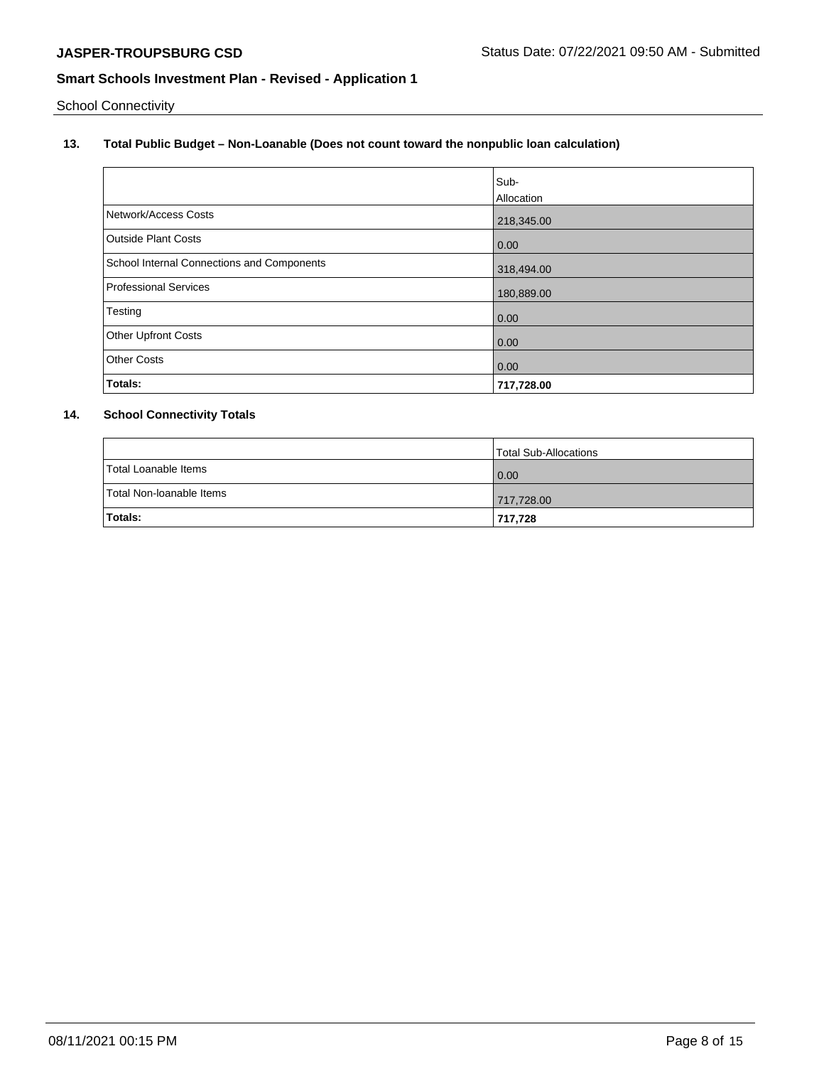School Connectivity

## **13. Total Public Budget – Non-Loanable (Does not count toward the nonpublic loan calculation)**

|                                            | Sub-       |
|--------------------------------------------|------------|
|                                            | Allocation |
| Network/Access Costs                       | 218,345.00 |
| <b>Outside Plant Costs</b>                 | 0.00       |
| School Internal Connections and Components | 318,494.00 |
| Professional Services                      | 180,889.00 |
| Testing                                    | 0.00       |
| <b>Other Upfront Costs</b>                 | 0.00       |
| <b>Other Costs</b>                         | 0.00       |
| Totals:                                    | 717,728.00 |

## **14. School Connectivity Totals**

|                          | Total Sub-Allocations |
|--------------------------|-----------------------|
| Total Loanable Items     | 0.00                  |
| Total Non-Ioanable Items | 717,728.00            |
| Totals:                  | 717.728               |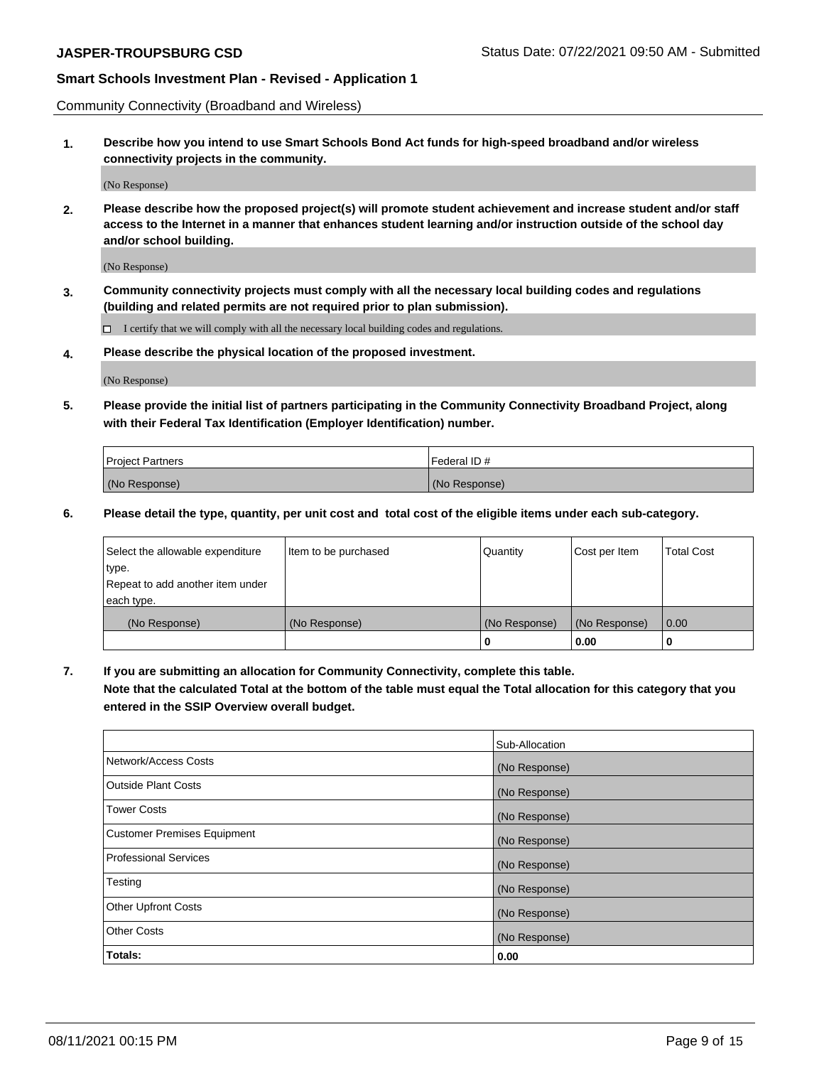Community Connectivity (Broadband and Wireless)

**1. Describe how you intend to use Smart Schools Bond Act funds for high-speed broadband and/or wireless connectivity projects in the community.**

(No Response)

**2. Please describe how the proposed project(s) will promote student achievement and increase student and/or staff access to the Internet in a manner that enhances student learning and/or instruction outside of the school day and/or school building.**

(No Response)

**3. Community connectivity projects must comply with all the necessary local building codes and regulations (building and related permits are not required prior to plan submission).**

 $\Box$  I certify that we will comply with all the necessary local building codes and regulations.

**4. Please describe the physical location of the proposed investment.**

(No Response)

**5. Please provide the initial list of partners participating in the Community Connectivity Broadband Project, along with their Federal Tax Identification (Employer Identification) number.**

| <b>Project Partners</b> | l Federal ID # |
|-------------------------|----------------|
| (No Response)           | (No Response)  |

**6. Please detail the type, quantity, per unit cost and total cost of the eligible items under each sub-category.**

| Select the allowable expenditure | Item to be purchased | Quantity      | Cost per Item | <b>Total Cost</b> |
|----------------------------------|----------------------|---------------|---------------|-------------------|
| type.                            |                      |               |               |                   |
| Repeat to add another item under |                      |               |               |                   |
| each type.                       |                      |               |               |                   |
| (No Response)                    | (No Response)        | (No Response) | (No Response) | 0.00              |
|                                  |                      | o             | 0.00          |                   |

**7. If you are submitting an allocation for Community Connectivity, complete this table.**

**Note that the calculated Total at the bottom of the table must equal the Total allocation for this category that you entered in the SSIP Overview overall budget.**

|                                    | Sub-Allocation |
|------------------------------------|----------------|
| Network/Access Costs               | (No Response)  |
| Outside Plant Costs                | (No Response)  |
| <b>Tower Costs</b>                 | (No Response)  |
| <b>Customer Premises Equipment</b> | (No Response)  |
| <b>Professional Services</b>       | (No Response)  |
| Testing                            | (No Response)  |
| <b>Other Upfront Costs</b>         | (No Response)  |
| <b>Other Costs</b>                 | (No Response)  |
| Totals:                            | 0.00           |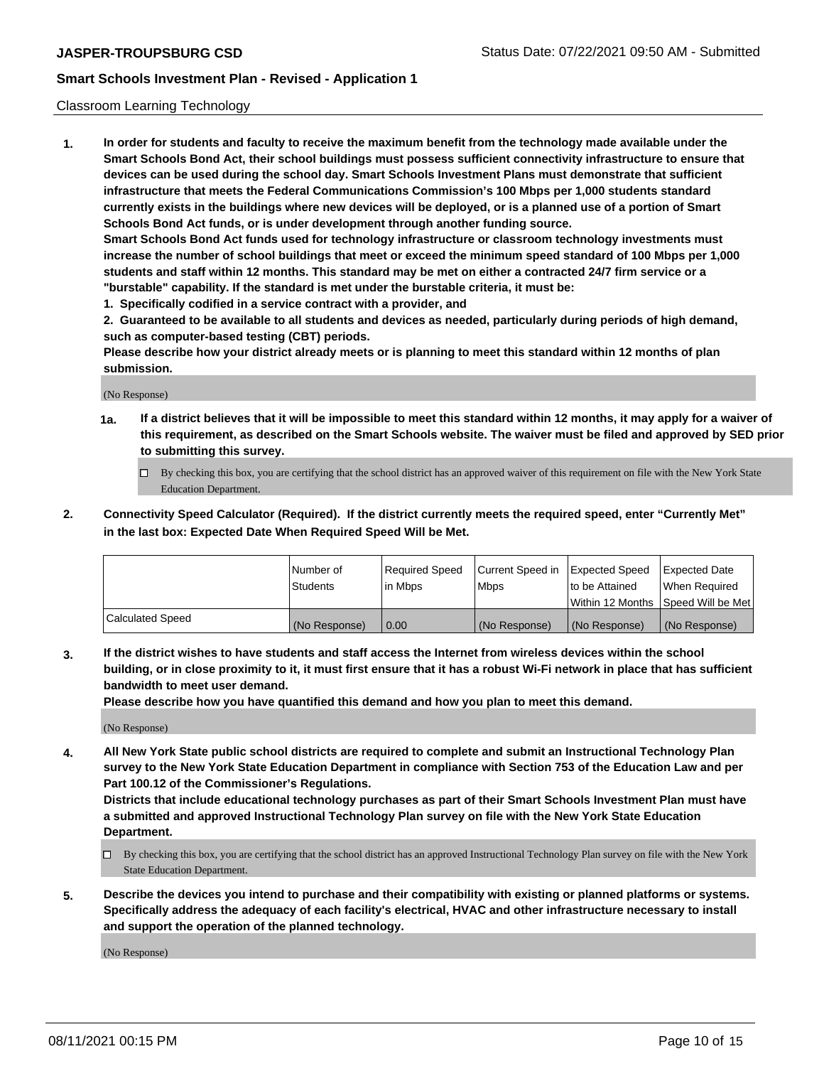#### Classroom Learning Technology

**1. In order for students and faculty to receive the maximum benefit from the technology made available under the Smart Schools Bond Act, their school buildings must possess sufficient connectivity infrastructure to ensure that devices can be used during the school day. Smart Schools Investment Plans must demonstrate that sufficient infrastructure that meets the Federal Communications Commission's 100 Mbps per 1,000 students standard currently exists in the buildings where new devices will be deployed, or is a planned use of a portion of Smart Schools Bond Act funds, or is under development through another funding source. Smart Schools Bond Act funds used for technology infrastructure or classroom technology investments must increase the number of school buildings that meet or exceed the minimum speed standard of 100 Mbps per 1,000 students and staff within 12 months. This standard may be met on either a contracted 24/7 firm service or a**

**"burstable" capability. If the standard is met under the burstable criteria, it must be:**

**1. Specifically codified in a service contract with a provider, and**

**2. Guaranteed to be available to all students and devices as needed, particularly during periods of high demand, such as computer-based testing (CBT) periods.**

**Please describe how your district already meets or is planning to meet this standard within 12 months of plan submission.**

(No Response)

- **1a. If a district believes that it will be impossible to meet this standard within 12 months, it may apply for a waiver of this requirement, as described on the Smart Schools website. The waiver must be filed and approved by SED prior to submitting this survey.**
	- By checking this box, you are certifying that the school district has an approved waiver of this requirement on file with the New York State Education Department.
- **2. Connectivity Speed Calculator (Required). If the district currently meets the required speed, enter "Currently Met" in the last box: Expected Date When Required Speed Will be Met.**

|                  | l Number of     | Required Speed | Current Speed in | <b>Expected Speed</b> | <b>Expected Date</b>                |
|------------------|-----------------|----------------|------------------|-----------------------|-------------------------------------|
|                  | <b>Students</b> | l in Mbps      | l Mbps           | to be Attained        | When Required                       |
|                  |                 |                |                  |                       | Within 12 Months  Speed Will be Met |
| Calculated Speed | (No Response)   | 0.00           | (No Response)    | l (No Response)       | (No Response)                       |

**3. If the district wishes to have students and staff access the Internet from wireless devices within the school building, or in close proximity to it, it must first ensure that it has a robust Wi-Fi network in place that has sufficient bandwidth to meet user demand.**

**Please describe how you have quantified this demand and how you plan to meet this demand.**

(No Response)

**4. All New York State public school districts are required to complete and submit an Instructional Technology Plan survey to the New York State Education Department in compliance with Section 753 of the Education Law and per Part 100.12 of the Commissioner's Regulations.**

**Districts that include educational technology purchases as part of their Smart Schools Investment Plan must have a submitted and approved Instructional Technology Plan survey on file with the New York State Education Department.**

- By checking this box, you are certifying that the school district has an approved Instructional Technology Plan survey on file with the New York State Education Department.
- **5. Describe the devices you intend to purchase and their compatibility with existing or planned platforms or systems. Specifically address the adequacy of each facility's electrical, HVAC and other infrastructure necessary to install and support the operation of the planned technology.**

(No Response)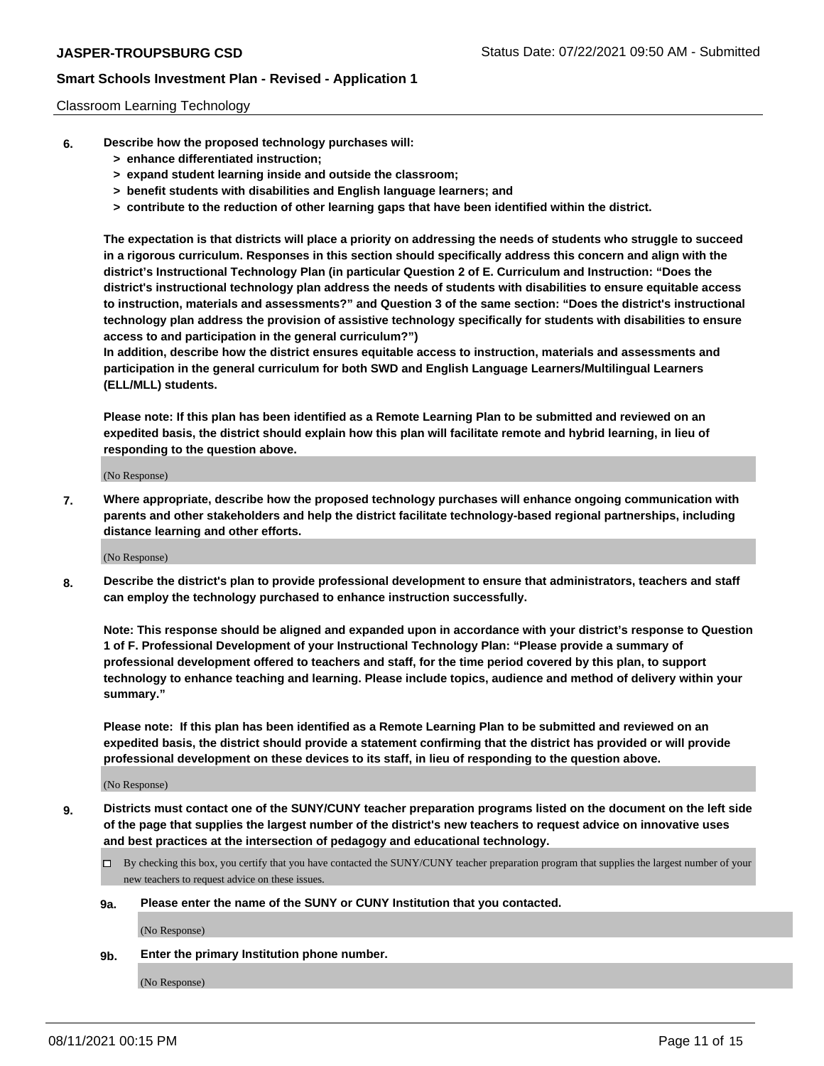#### Classroom Learning Technology

- **6. Describe how the proposed technology purchases will:**
	- **> enhance differentiated instruction;**
	- **> expand student learning inside and outside the classroom;**
	- **> benefit students with disabilities and English language learners; and**
	- **> contribute to the reduction of other learning gaps that have been identified within the district.**

**The expectation is that districts will place a priority on addressing the needs of students who struggle to succeed in a rigorous curriculum. Responses in this section should specifically address this concern and align with the district's Instructional Technology Plan (in particular Question 2 of E. Curriculum and Instruction: "Does the district's instructional technology plan address the needs of students with disabilities to ensure equitable access to instruction, materials and assessments?" and Question 3 of the same section: "Does the district's instructional technology plan address the provision of assistive technology specifically for students with disabilities to ensure access to and participation in the general curriculum?")**

**In addition, describe how the district ensures equitable access to instruction, materials and assessments and participation in the general curriculum for both SWD and English Language Learners/Multilingual Learners (ELL/MLL) students.**

**Please note: If this plan has been identified as a Remote Learning Plan to be submitted and reviewed on an expedited basis, the district should explain how this plan will facilitate remote and hybrid learning, in lieu of responding to the question above.**

(No Response)

**7. Where appropriate, describe how the proposed technology purchases will enhance ongoing communication with parents and other stakeholders and help the district facilitate technology-based regional partnerships, including distance learning and other efforts.**

(No Response)

**8. Describe the district's plan to provide professional development to ensure that administrators, teachers and staff can employ the technology purchased to enhance instruction successfully.**

**Note: This response should be aligned and expanded upon in accordance with your district's response to Question 1 of F. Professional Development of your Instructional Technology Plan: "Please provide a summary of professional development offered to teachers and staff, for the time period covered by this plan, to support technology to enhance teaching and learning. Please include topics, audience and method of delivery within your summary."**

**Please note: If this plan has been identified as a Remote Learning Plan to be submitted and reviewed on an expedited basis, the district should provide a statement confirming that the district has provided or will provide professional development on these devices to its staff, in lieu of responding to the question above.**

(No Response)

- **9. Districts must contact one of the SUNY/CUNY teacher preparation programs listed on the document on the left side of the page that supplies the largest number of the district's new teachers to request advice on innovative uses and best practices at the intersection of pedagogy and educational technology.**
	- By checking this box, you certify that you have contacted the SUNY/CUNY teacher preparation program that supplies the largest number of your new teachers to request advice on these issues.

#### **9a. Please enter the name of the SUNY or CUNY Institution that you contacted.**

(No Response)

**9b. Enter the primary Institution phone number.**

(No Response)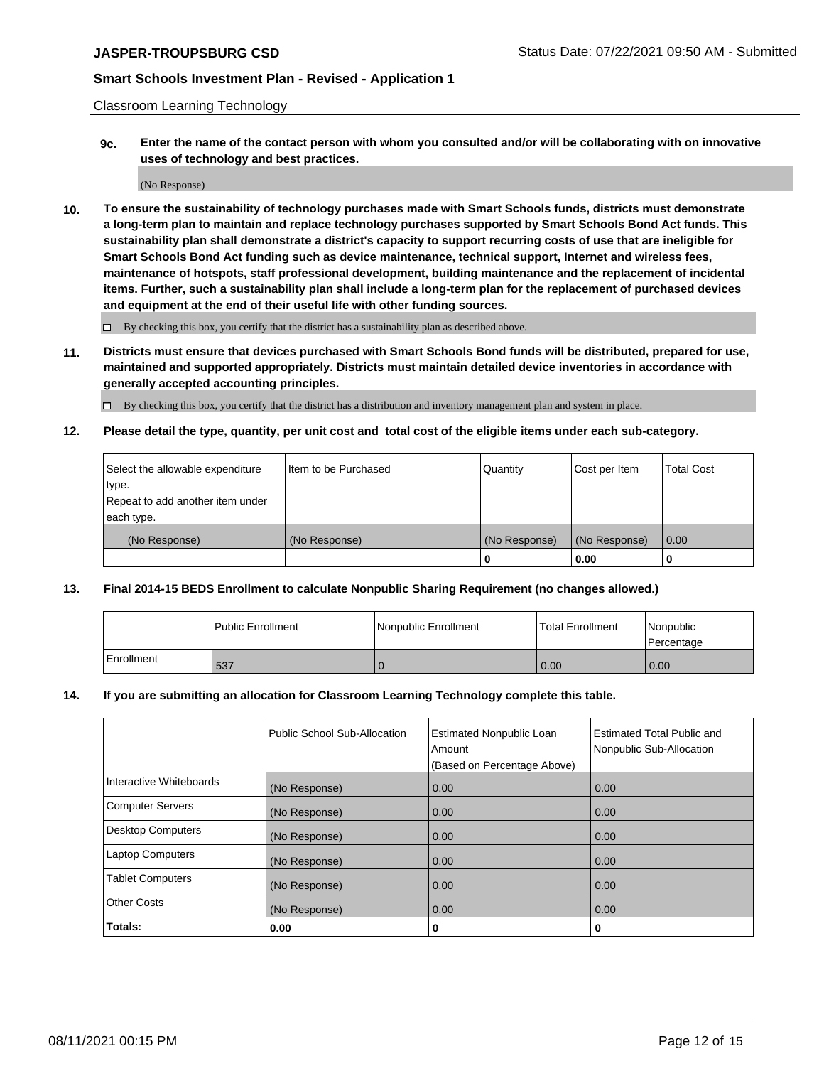Classroom Learning Technology

**9c. Enter the name of the contact person with whom you consulted and/or will be collaborating with on innovative uses of technology and best practices.**

(No Response)

**10. To ensure the sustainability of technology purchases made with Smart Schools funds, districts must demonstrate a long-term plan to maintain and replace technology purchases supported by Smart Schools Bond Act funds. This sustainability plan shall demonstrate a district's capacity to support recurring costs of use that are ineligible for Smart Schools Bond Act funding such as device maintenance, technical support, Internet and wireless fees, maintenance of hotspots, staff professional development, building maintenance and the replacement of incidental items. Further, such a sustainability plan shall include a long-term plan for the replacement of purchased devices and equipment at the end of their useful life with other funding sources.**

 $\square$  By checking this box, you certify that the district has a sustainability plan as described above.

**11. Districts must ensure that devices purchased with Smart Schools Bond funds will be distributed, prepared for use, maintained and supported appropriately. Districts must maintain detailed device inventories in accordance with generally accepted accounting principles.**

By checking this box, you certify that the district has a distribution and inventory management plan and system in place.

**12. Please detail the type, quantity, per unit cost and total cost of the eligible items under each sub-category.**

| Select the allowable expenditure | Iltem to be Purchased | Quantity      | Cost per Item | Total Cost |
|----------------------------------|-----------------------|---------------|---------------|------------|
| type.                            |                       |               |               |            |
| Repeat to add another item under |                       |               |               |            |
| each type.                       |                       |               |               |            |
| (No Response)                    | (No Response)         | (No Response) | (No Response) | 0.00       |
|                                  |                       |               | 0.00          |            |

#### **13. Final 2014-15 BEDS Enrollment to calculate Nonpublic Sharing Requirement (no changes allowed.)**

|            | l Public Enrollment | Nonpublic Enrollment | <b>Total Enrollment</b> | <i>Nonpublic</i><br>Percentage |
|------------|---------------------|----------------------|-------------------------|--------------------------------|
| Enrollment | 537                 |                      | 0.00                    | 0.00                           |

#### **14. If you are submitting an allocation for Classroom Learning Technology complete this table.**

|                          | Public School Sub-Allocation | <b>Estimated Nonpublic Loan</b><br>Amount | Estimated Total Public and<br>Nonpublic Sub-Allocation |
|--------------------------|------------------------------|-------------------------------------------|--------------------------------------------------------|
|                          |                              | (Based on Percentage Above)               |                                                        |
| Interactive Whiteboards  | (No Response)                | 0.00                                      | 0.00                                                   |
| <b>Computer Servers</b>  | (No Response)                | 0.00                                      | 0.00                                                   |
| <b>Desktop Computers</b> | (No Response)                | 0.00                                      | 0.00                                                   |
| <b>Laptop Computers</b>  | (No Response)                | 0.00                                      | 0.00                                                   |
| <b>Tablet Computers</b>  | (No Response)                | 0.00                                      | 0.00                                                   |
| <b>Other Costs</b>       | (No Response)                | 0.00                                      | 0.00                                                   |
| Totals:                  | 0.00                         | 0                                         | 0                                                      |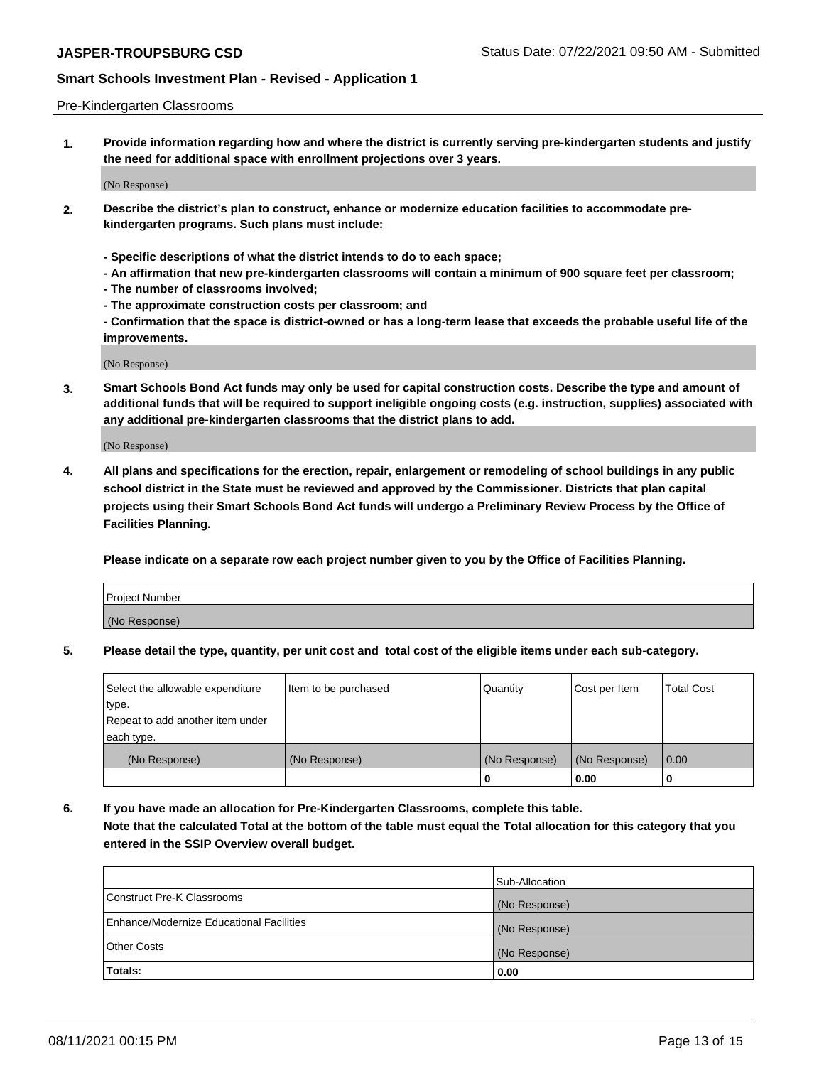#### Pre-Kindergarten Classrooms

**1. Provide information regarding how and where the district is currently serving pre-kindergarten students and justify the need for additional space with enrollment projections over 3 years.**

(No Response)

- **2. Describe the district's plan to construct, enhance or modernize education facilities to accommodate prekindergarten programs. Such plans must include:**
	- **Specific descriptions of what the district intends to do to each space;**
	- **An affirmation that new pre-kindergarten classrooms will contain a minimum of 900 square feet per classroom;**
	- **The number of classrooms involved;**
	- **The approximate construction costs per classroom; and**
	- **Confirmation that the space is district-owned or has a long-term lease that exceeds the probable useful life of the improvements.**

(No Response)

**3. Smart Schools Bond Act funds may only be used for capital construction costs. Describe the type and amount of additional funds that will be required to support ineligible ongoing costs (e.g. instruction, supplies) associated with any additional pre-kindergarten classrooms that the district plans to add.**

(No Response)

**4. All plans and specifications for the erection, repair, enlargement or remodeling of school buildings in any public school district in the State must be reviewed and approved by the Commissioner. Districts that plan capital projects using their Smart Schools Bond Act funds will undergo a Preliminary Review Process by the Office of Facilities Planning.**

**Please indicate on a separate row each project number given to you by the Office of Facilities Planning.**

| Project Number |  |
|----------------|--|
| (No Response)  |  |
|                |  |

**5. Please detail the type, quantity, per unit cost and total cost of the eligible items under each sub-category.**

| Select the allowable expenditure | Item to be purchased | Quantity      | Cost per Item | <b>Total Cost</b> |
|----------------------------------|----------------------|---------------|---------------|-------------------|
| type.                            |                      |               |               |                   |
| Repeat to add another item under |                      |               |               |                   |
| each type.                       |                      |               |               |                   |
| (No Response)                    | (No Response)        | (No Response) | (No Response) | 0.00              |
|                                  |                      | U             | 0.00          |                   |

**6. If you have made an allocation for Pre-Kindergarten Classrooms, complete this table. Note that the calculated Total at the bottom of the table must equal the Total allocation for this category that you entered in the SSIP Overview overall budget.**

|                                          | Sub-Allocation |
|------------------------------------------|----------------|
| Construct Pre-K Classrooms               | (No Response)  |
| Enhance/Modernize Educational Facilities | (No Response)  |
| <b>Other Costs</b>                       | (No Response)  |
| Totals:                                  | 0.00           |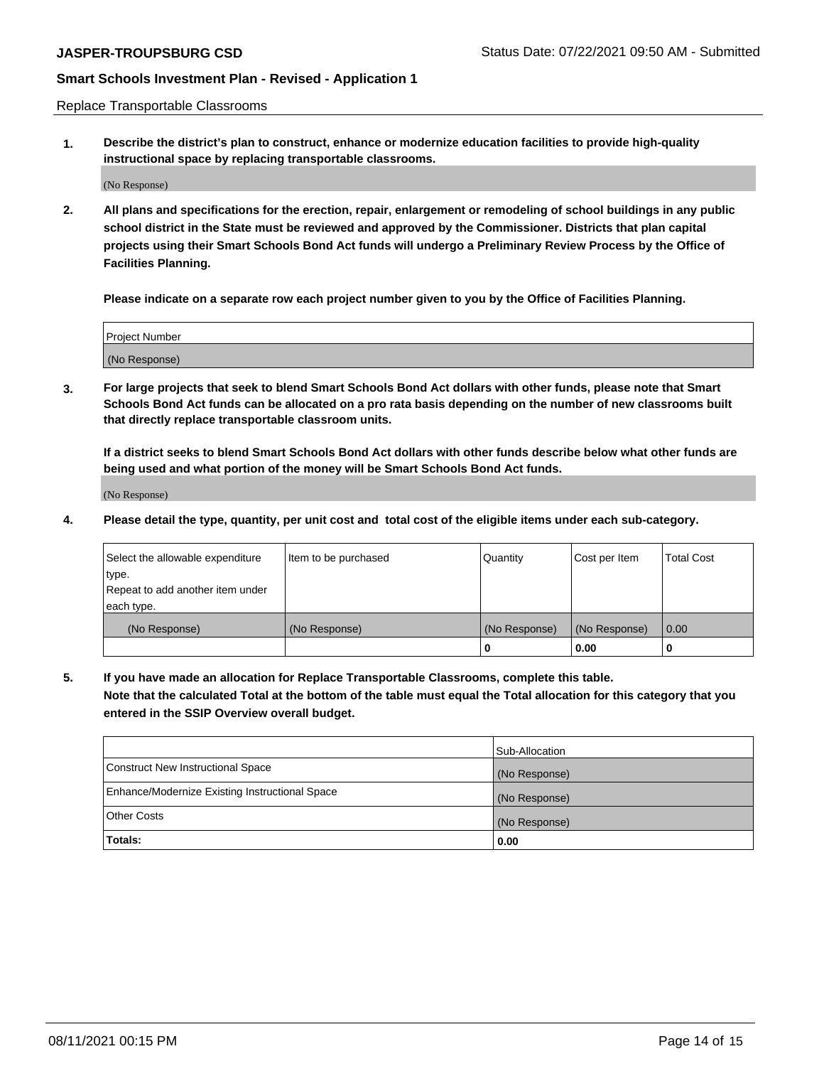Replace Transportable Classrooms

**1. Describe the district's plan to construct, enhance or modernize education facilities to provide high-quality instructional space by replacing transportable classrooms.**

(No Response)

**2. All plans and specifications for the erection, repair, enlargement or remodeling of school buildings in any public school district in the State must be reviewed and approved by the Commissioner. Districts that plan capital projects using their Smart Schools Bond Act funds will undergo a Preliminary Review Process by the Office of Facilities Planning.**

**Please indicate on a separate row each project number given to you by the Office of Facilities Planning.**

| Project Number |  |
|----------------|--|
|                |  |
|                |  |
|                |  |
| (No Response)  |  |
|                |  |
|                |  |

**3. For large projects that seek to blend Smart Schools Bond Act dollars with other funds, please note that Smart Schools Bond Act funds can be allocated on a pro rata basis depending on the number of new classrooms built that directly replace transportable classroom units.**

**If a district seeks to blend Smart Schools Bond Act dollars with other funds describe below what other funds are being used and what portion of the money will be Smart Schools Bond Act funds.**

(No Response)

**4. Please detail the type, quantity, per unit cost and total cost of the eligible items under each sub-category.**

| Select the allowable expenditure | Item to be purchased | Quantity      | Cost per Item | Total Cost |
|----------------------------------|----------------------|---------------|---------------|------------|
| ∣type.                           |                      |               |               |            |
| Repeat to add another item under |                      |               |               |            |
| each type.                       |                      |               |               |            |
| (No Response)                    | (No Response)        | (No Response) | (No Response) | 0.00       |
|                                  |                      | u             | 0.00          |            |

**5. If you have made an allocation for Replace Transportable Classrooms, complete this table. Note that the calculated Total at the bottom of the table must equal the Total allocation for this category that you entered in the SSIP Overview overall budget.**

|                                                | Sub-Allocation |
|------------------------------------------------|----------------|
| Construct New Instructional Space              | (No Response)  |
| Enhance/Modernize Existing Instructional Space | (No Response)  |
| Other Costs                                    | (No Response)  |
| Totals:                                        | 0.00           |